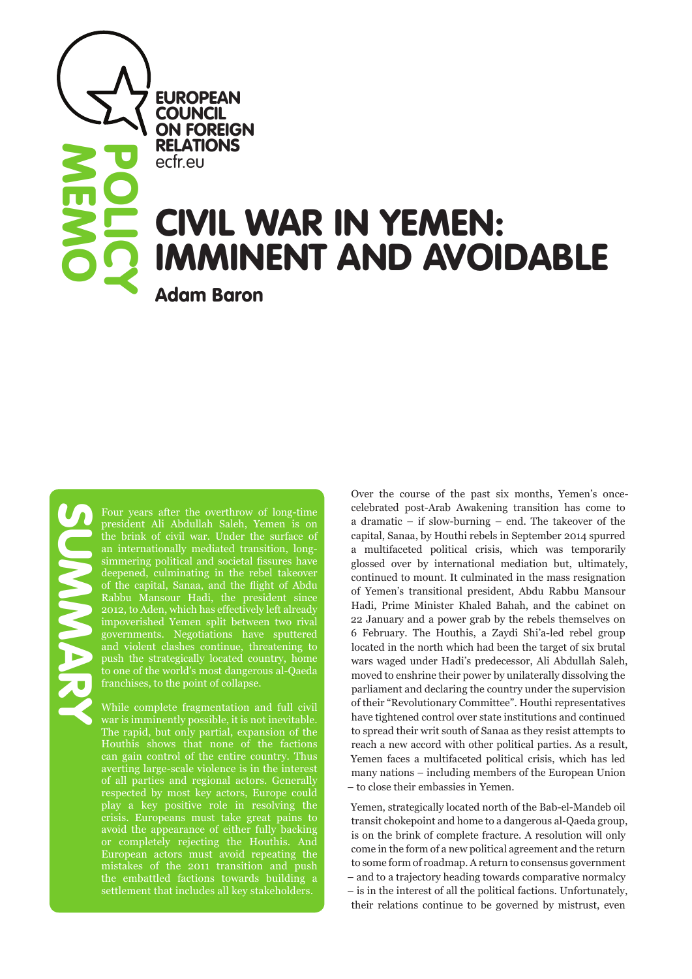**EUROPEAN COUNCIL** ON FOREIGN RELATIONS ecfr.eu

# CIVIL WAR IN YEMEN: IMMINENT AND AVOIDABLE

Adam Baron

**MEMO** 

POLICY

Four years after the overthrow of long-time president Ali Abdullah Saleh, Yemen is on an internationally mediated transition, longsimmering political and societal fissures have deepened, culminating in the rebel takeover of the capital, Sanaa, and the flight of Abdu Rabbu Mansour Hadi, the president since 2012, to Aden, which has effectively left already impoverished Yemen split between two rival governments. Negotiations have sputtered and violent clashes continue, threatening to push the strategically located country, home to one of the world's most dangerous al-Qaeda franchises, to the point of collapse.

While complete fragmentation and full civil war is imminently possible, it is not inevitable. The rapid, but only partial, expansion of the Houthis shows that none of the factions can gain control of the entire country. Thus averting large-scale violence is in the interest of all parties and regional actors. Generally respected by most key actors, Europe could play a key positive role in resolving the crisis. Europeans must take great pains to avoid the appearance of either fully backing or completely rejecting the Houthis. And European actors must avoid repeating the mistakes of the 2011 transition and push the embattled factions towards building a settlement that includes all key stakeholders.

Over the course of the past six months, Yemen's oncecelebrated post-Arab Awakening transition has come to a dramatic – if slow-burning – end. The takeover of the capital, Sanaa, by Houthi rebels in September 2014 spurred a multifaceted political crisis, which was temporarily glossed over by international mediation but, ultimately, continued to mount. It culminated in the mass resignation of Yemen's transitional president, Abdu Rabbu Mansour Hadi, Prime Minister Khaled Bahah, and the cabinet on 22 January and a power grab by the rebels themselves on 6 February. The Houthis, a Zaydi Shi'a-led rebel group located in the north which had been the target of six brutal wars waged under Hadi's predecessor, Ali Abdullah Saleh, moved to enshrine their power by unilaterally dissolving the parliament and declaring the country under the supervision of their "Revolutionary Committee". Houthi representatives have tightened control over state institutions and continued to spread their writ south of Sanaa as they resist attempts to reach a new accord with other political parties. As a result, Yemen faces a multifaceted political crisis, which has led many nations – including members of the European Union – to close their embassies in Yemen.

Yemen, strategically located north of the Bab-el-Mandeb oil transit chokepoint and home to a dangerous al-Qaeda group, is on the brink of complete fracture. A resolution will only come in the form of a new political agreement and the return to some form of roadmap. A return to consensus government – and to a trajectory heading towards comparative normalcy – is in the interest of all the political factions. Unfortunately, their relations continue to be governed by mistrust, even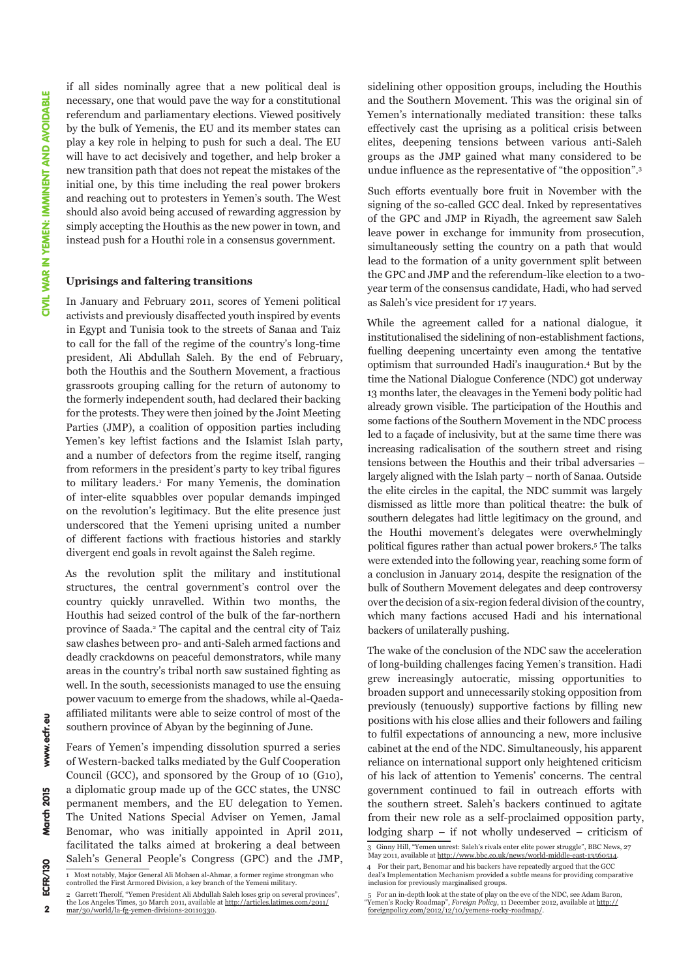if all sides nominally agree that a new political deal is necessary, one that would pave the way for a constitutional referendum and parliamentary elections. Viewed positively by the bulk of Yemenis, the EU and its member states can play a key role in helping to push for such a deal. The EU will have to act decisively and together, and help broker a new transition path that does not repeat the mistakes of the initial one, by this time including the real power brokers and reaching out to protesters in Yemen's south. The West should also avoid being accused of rewarding aggression by simply accepting the Houthis as the new power in town, and instead push for a Houthi role in a consensus government.

#### **Uprisings and faltering transitions**

In January and February 2011, scores of Yemeni political activists and previously disaffected youth inspired by events in Egypt and Tunisia took to the streets of Sanaa and Taiz to call for the fall of the regime of the country's long-time president, Ali Abdullah Saleh. By the end of February, both the Houthis and the Southern Movement, a fractious grassroots grouping calling for the return of autonomy to the formerly independent south, had declared their backing for the protests. They were then joined by the Joint Meeting Parties (JMP), a coalition of opposition parties including Yemen's key leftist factions and the Islamist Islah party, and a number of defectors from the regime itself, ranging from reformers in the president's party to key tribal figures to military leaders.1 For many Yemenis, the domination of inter-elite squabbles over popular demands impinged on the revolution's legitimacy. But the elite presence just underscored that the Yemeni uprising united a number of different factions with fractious histories and starkly divergent end goals in revolt against the Saleh regime.

As the revolution split the military and institutional structures, the central government's control over the country quickly unravelled. Within two months, the Houthis had seized control of the bulk of the far-northern province of Saada.2 The capital and the central city of Taiz saw clashes between pro- and anti-Saleh armed factions and deadly crackdowns on peaceful demonstrators, while many areas in the country's tribal north saw sustained fighting as well. In the south, secessionists managed to use the ensuing power vacuum to emerge from the shadows, while al-Qaedaaffiliated militants were able to seize control of most of the southern province of Abyan by the beginning of June.

Fears of Yemen's impending dissolution spurred a series of Western-backed talks mediated by the Gulf Cooperation Council (GCC), and sponsored by the Group of 10 (G10), a diplomatic group made up of the GCC states, the UNSC permanent members, and the EU delegation to Yemen. The United Nations Special Adviser on Yemen, Jamal Benomar, who was initially appointed in April 2011, facilitated the talks aimed at brokering a deal between Saleh's General People's Congress (GPC) and the JMP,

sidelining other opposition groups, including the Houthis and the Southern Movement. This was the original sin of Yemen's internationally mediated transition: these talks effectively cast the uprising as a political crisis between elites, deepening tensions between various anti-Saleh groups as the JMP gained what many considered to be undue influence as the representative of "the opposition".3

Such efforts eventually bore fruit in November with the signing of the so-called GCC deal. Inked by representatives of the GPC and JMP in Riyadh, the agreement saw Saleh leave power in exchange for immunity from prosecution, simultaneously setting the country on a path that would lead to the formation of a unity government split between the GPC and JMP and the referendum-like election to a twoyear term of the consensus candidate, Hadi, who had served as Saleh's vice president for 17 years.

While the agreement called for a national dialogue, it institutionalised the sidelining of non-establishment factions, fuelling deepening uncertainty even among the tentative optimism that surrounded Hadi's inauguration.4 But by the time the National Dialogue Conference (NDC) got underway 13 months later, the cleavages in the Yemeni body politic had already grown visible. The participation of the Houthis and some factions of the Southern Movement in the NDC process led to a façade of inclusivity, but at the same time there was increasing radicalisation of the southern street and rising tensions between the Houthis and their tribal adversaries – largely aligned with the Islah party – north of Sanaa. Outside the elite circles in the capital, the NDC summit was largely dismissed as little more than political theatre: the bulk of southern delegates had little legitimacy on the ground, and the Houthi movement's delegates were overwhelmingly political figures rather than actual power brokers.5 The talks were extended into the following year, reaching some form of a conclusion in January 2014, despite the resignation of the bulk of Southern Movement delegates and deep controversy over the decision of a six-region federal division of the country, which many factions accused Hadi and his international backers of unilaterally pushing.

The wake of the conclusion of the NDC saw the acceleration of long-building challenges facing Yemen's transition. Hadi grew increasingly autocratic, missing opportunities to broaden support and unnecessarily stoking opposition from previously (tenuously) supportive factions by filling new positions with his close allies and their followers and failing to fulfil expectations of announcing a new, more inclusive cabinet at the end of the NDC. Simultaneously, his apparent reliance on international support only heightened criticism of his lack of attention to Yemenis' concerns. The central government continued to fail in outreach efforts with the southern street. Saleh's backers continued to agitate from their new role as a self-proclaimed opposition party, lodging sharp – if not wholly undeserved – criticism of

<sup>1</sup> Most notably, Major General Ali Mohsen al-Ahmar, a former regime strongman who controlled the First Armored Division, a key branch of the Yemeni military. 2 Garrett Therolf, "Yemen President Ali Abdullah Saleh loses grip on several provinces",

the Los Angeles Times, 30 March 2011, available at [http://articles.latimes.com/2011/](http://articles.latimes.com/2011/mar/30/world/la-fg-yemen-divisions-20110330) [mar/30/world/la-fg-yemen-divisions-20110330.](http://articles.latimes.com/2011/mar/30/world/la-fg-yemen-divisions-20110330)

<sup>3</sup> Ginny Hill, "Yemen unrest: Saleh's rivals enter elite power struggle", BBC News, 27 May 2011, available at [http://www.bbc.co.uk/news/world-middle-east-13560514.](http://www.bbc.co.uk/news/world-middle-east-13560514)

<sup>4</sup> For their part, Benomar and his backers have repeatedly argued that the GCC deal's Implementation Mechanism provided a subtle means for providing comparative deal's inclusion for previously marginalised groups.

<sup>5</sup> For an in-depth look at the state of play on the eve of the NDC, see Adam Baron, "Yemen's Rocky Roadmap", *Foreign Policy*, 11 December 2012, available at [http://](http://foreignpolicy.com/2012/12/10/yemens-rocky-roadmap/) [foreignpolicy.com/2012/12/10/yemens-rocky-roadmap/.](http://foreignpolicy.com/2012/12/10/yemens-rocky-roadmap/)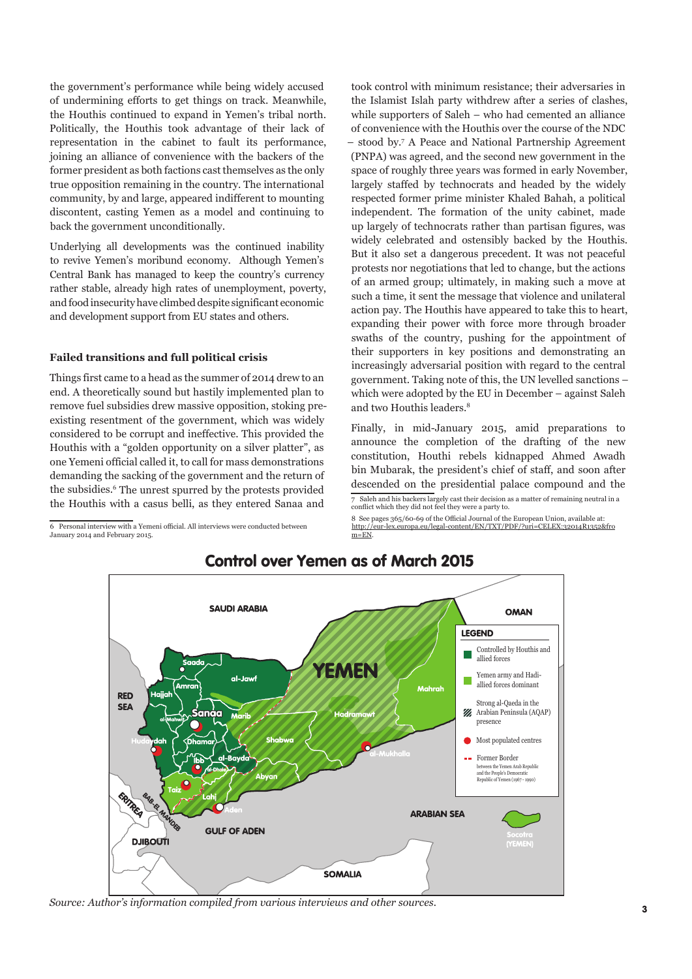the government's performance while being widely accused of undermining efforts to get things on track. Meanwhile, the Houthis continued to expand in Yemen's tribal north. Politically, the Houthis took advantage of their lack of representation in the cabinet to fault its performance, joining an alliance of convenience with the backers of the former president as both factions cast themselves as the only true opposition remaining in the country. The international community, by and large, appeared indifferent to mounting discontent, casting Yemen as a model and continuing to back the government unconditionally.

Underlying all developments was the continued inability to revive Yemen's moribund economy. Although Yemen's Central Bank has managed to keep the country's currency rather stable, already high rates of unemployment, poverty, and food insecurity have climbed despite significant economic and development support from EU states and others.

#### **Failed transitions and full political crisis**

Things first came to a head as the summer of 2014 drew to an end. A theoretically sound but hastily implemented plan to remove fuel subsidies drew massive opposition, stoking preexisting resentment of the government, which was widely considered to be corrupt and ineffective. This provided the Houthis with a "golden opportunity on a silver platter", as one Yemeni official called it, to call for mass demonstrations demanding the sacking of the government and the return of the subsidies.<sup>6</sup> The unrest spurred by the protests provided the Houthis with a casus belli, as they entered Sanaa and

6 Personal interview with a Yemeni official. All interviews were conducted between January 2014 and February 2015.

took control with minimum resistance; their adversaries in the Islamist Islah party withdrew after a series of clashes, while supporters of Saleh – who had cemented an alliance of convenience with the Houthis over the course of the NDC – stood by.7 A Peace and National Partnership Agreement (PNPA) was agreed, and the second new government in the space of roughly three years was formed in early November, largely staffed by technocrats and headed by the widely respected former prime minister Khaled Bahah, a political independent. The formation of the unity cabinet, made up largely of technocrats rather than partisan figures, was widely celebrated and ostensibly backed by the Houthis. But it also set a dangerous precedent. It was not peaceful protests nor negotiations that led to change, but the actions of an armed group; ultimately, in making such a move at such a time, it sent the message that violence and unilateral action pay. The Houthis have appeared to take this to heart, expanding their power with force more through broader swaths of the country, pushing for the appointment of their supporters in key positions and demonstrating an increasingly adversarial position with regard to the central government. Taking note of this, the UN levelled sanctions – which were adopted by the EU in December – against Saleh and two Houthis leaders.8

Finally, in mid-January 2015, amid preparations to announce the completion of the drafting of the new constitution, Houthi rebels kidnapped Ahmed Awadh bin Mubarak, the president's chief of staff, and soon after descended on the presidential palace compound and the 7 Saleh and his backers largely cast their decision as a matter of remaining neutral in a conflict which they did not feel they were a party to.

8 See pages 365/60-69 of the Official Journal of the European Union, available at: [http://eur-lex.europa.eu/legal-content/EN/TXT/PDF/?uri=CELEX:32014R1352&fro](http://eur-lex.europa.eu/legal-content/EN/TXT/PDF/?uri=CELEX:32014R1352&from=EN)  $m=EN$ 



### Control over Yemen as of March 2015

*Source: Author's information compiled from various interviews and other sources.*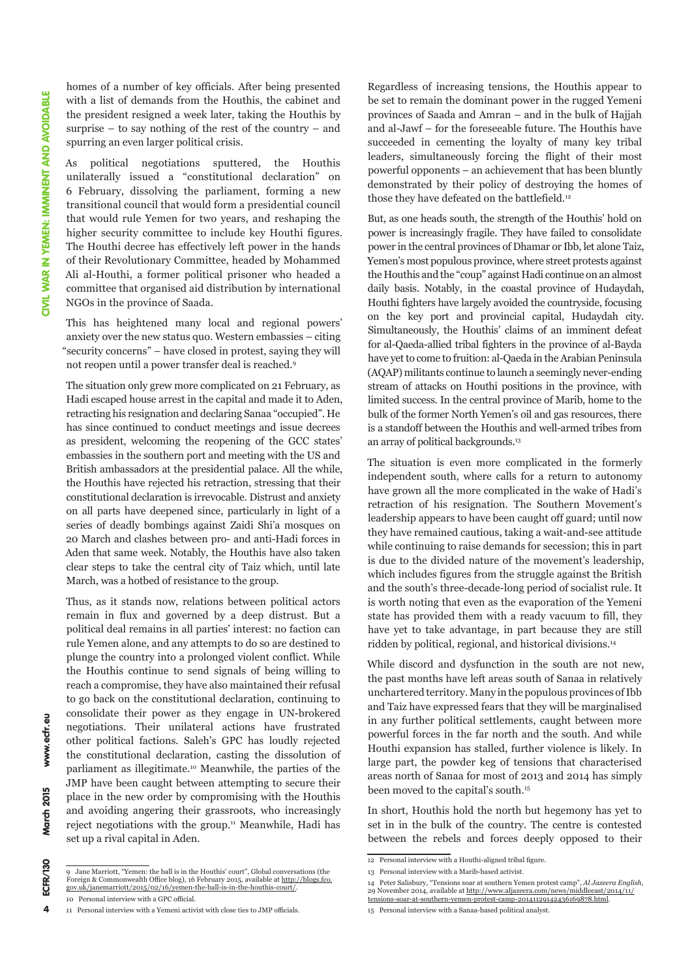www.ecfr.eu

March 2015

ECFR/130

 $\overline{\mathbf{4}}$ 

homes of a number of key officials. After being presented with a list of demands from the Houthis, the cabinet and the president resigned a week later, taking the Houthis by surprise – to say nothing of the rest of the country – and spurring an even larger political crisis.

As political negotiations sputtered, the Houthis unilaterally issued a "constitutional declaration" on 6 February, dissolving the parliament, forming a new transitional council that would form a presidential council that would rule Yemen for two years, and reshaping the higher security committee to include key Houthi figures. The Houthi decree has effectively left power in the hands of their Revolutionary Committee, headed by Mohammed Ali al-Houthi, a former political prisoner who headed a committee that organised aid distribution by international NGOs in the province of Saada.

This has heightened many local and regional powers' anxiety over the new status quo. Western embassies – citing "security concerns" – have closed in protest, saying they will not reopen until a power transfer deal is reached.9

The situation only grew more complicated on 21 February, as Hadi escaped house arrest in the capital and made it to Aden, retracting his resignation and declaring Sanaa "occupied". He has since continued to conduct meetings and issue decrees as president, welcoming the reopening of the GCC states' embassies in the southern port and meeting with the US and British ambassadors at the presidential palace. All the while, the Houthis have rejected his retraction, stressing that their constitutional declaration is irrevocable. Distrust and anxiety on all parts have deepened since, particularly in light of a series of deadly bombings against Zaidi Shi'a mosques on 20 March and clashes between pro- and anti-Hadi forces in Aden that same week. Notably, the Houthis have also taken clear steps to take the central city of Taiz which, until late March, was a hotbed of resistance to the group.

Thus, as it stands now, relations between political actors remain in flux and governed by a deep distrust. But a political deal remains in all parties' interest: no faction can rule Yemen alone, and any attempts to do so are destined to plunge the country into a prolonged violent conflict. While the Houthis continue to send signals of being willing to reach a compromise, they have also maintained their refusal to go back on the constitutional declaration, continuing to consolidate their power as they engage in UN-brokered negotiations. Their unilateral actions have frustrated other political factions. Saleh's GPC has loudly rejected the constitutional declaration, casting the dissolution of parliament as illegitimate.10 Meanwhile, the parties of the JMP have been caught between attempting to secure their place in the new order by compromising with the Houthis and avoiding angering their grassroots, who increasingly reject negotiations with the group.<sup>11</sup> Meanwhile, Hadi has set up a rival capital in Aden.

10 Personal interview with a GPC official.

Regardless of increasing tensions, the Houthis appear to be set to remain the dominant power in the rugged Yemeni provinces of Saada and Amran – and in the bulk of Hajjah and al-Jawf – for the foreseeable future. The Houthis have succeeded in cementing the loyalty of many key tribal leaders, simultaneously forcing the flight of their most powerful opponents – an achievement that has been bluntly demonstrated by their policy of destroying the homes of those they have defeated on the battlefield.<sup>12</sup>

But, as one heads south, the strength of the Houthis' hold on power is increasingly fragile. They have failed to consolidate power in the central provinces of Dhamar or Ibb, let alone Taiz, Yemen's most populous province, where street protests against the Houthis and the "coup" against Hadi continue on an almost daily basis. Notably, in the coastal province of Hudaydah, Houthi fighters have largely avoided the countryside, focusing on the key port and provincial capital, Hudaydah city. Simultaneously, the Houthis' claims of an imminent defeat for al-Qaeda-allied tribal fighters in the province of al-Bayda have yet to come to fruition: al-Qaeda in the Arabian Peninsula (AQAP) militants continue to launch a seemingly never-ending stream of attacks on Houthi positions in the province, with limited success. In the central province of Marib, home to the bulk of the former North Yemen's oil and gas resources, there is a standoff between the Houthis and well-armed tribes from an array of political backgrounds.<sup>13</sup>

The situation is even more complicated in the formerly independent south, where calls for a return to autonomy have grown all the more complicated in the wake of Hadi's retraction of his resignation. The Southern Movement's leadership appears to have been caught off guard; until now they have remained cautious, taking a wait-and-see attitude while continuing to raise demands for secession; this in part is due to the divided nature of the movement's leadership, which includes figures from the struggle against the British and the south's three-decade-long period of socialist rule. It is worth noting that even as the evaporation of the Yemeni state has provided them with a ready vacuum to fill, they have yet to take advantage, in part because they are still ridden by political, regional, and historical divisions.14

While discord and dysfunction in the south are not new, the past months have left areas south of Sanaa in relatively unchartered territory. Many in the populous provinces of Ibb and Taiz have expressed fears that they will be marginalised in any further political settlements, caught between more powerful forces in the far north and the south. And while Houthi expansion has stalled, further violence is likely. In large part, the powder keg of tensions that characterised areas north of Sanaa for most of 2013 and 2014 has simply been moved to the capital's south.15

In short, Houthis hold the north but hegemony has yet to set in in the bulk of the country. The centre is contested between the rebels and forces deeply opposed to their

13 Personal interview with a Marib-based activist.

<sup>9</sup> Jane Marriott, "Yemen: the ball is in the Houthis' court", Global conversations (the Foreign & Commonwealth Office blog), 16 February 2015, available at <u>[http://blogs.fco.](http://blogs.fco.gov.uk/janemarriott/2015/02/16/yemen-the-ball-is-in-the-houthis-court/)</u><br>g<u>ov.uk/janemarriott/2015/02/16/yemen-the-ball-is-in-the-houthis-court/</u>.

<sup>11</sup> Personal interview with a Yemeni activist with close ties to JMP officials.

<sup>12</sup> Personal interview with a Houthi-aligned tribal figure.

<sup>14</sup> Peter Salisbury, "Tensions soar at southern Yemen protest camp", *Al Jazeera English*, 29 November 2014, available at [http://www.aljazeera.com/news/middleeast/2014/11/](http://www.aljazeera.com/news/middleeast/2014/11/tensions-soar-at-southern-yemen-protest-camp-20141129142436169878.html)

[tensions-soar-at-southern-yemen-protest-camp-20141129142436169878.html.](http://www.aljazeera.com/news/middleeast/2014/11/tensions-soar-at-southern-yemen-protest-camp-20141129142436169878.html) 15 Personal interview with a Sanaa-based political analyst.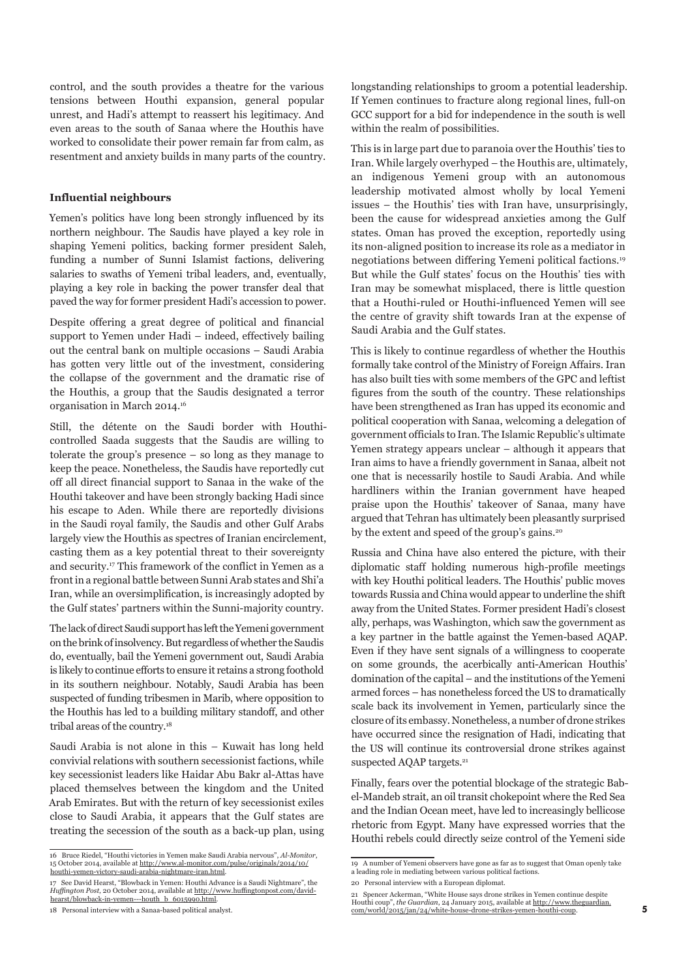control, and the south provides a theatre for the various tensions between Houthi expansion, general popular unrest, and Hadi's attempt to reassert his legitimacy. And even areas to the south of Sanaa where the Houthis have worked to consolidate their power remain far from calm, as resentment and anxiety builds in many parts of the country.

#### **Influential neighbours**

Yemen's politics have long been strongly influenced by its northern neighbour. The Saudis have played a key role in shaping Yemeni politics, backing former president Saleh, funding a number of Sunni Islamist factions, delivering salaries to swaths of Yemeni tribal leaders, and, eventually, playing a key role in backing the power transfer deal that paved the way for former president Hadi's accession to power.

Despite offering a great degree of political and financial support to Yemen under Hadi – indeed, effectively bailing out the central bank on multiple occasions – Saudi Arabia has gotten very little out of the investment, considering the collapse of the government and the dramatic rise of the Houthis, a group that the Saudis designated a terror organisation in March 2014.16

Still, the détente on the Saudi border with Houthicontrolled Saada suggests that the Saudis are willing to tolerate the group's presence – so long as they manage to keep the peace. Nonetheless, the Saudis have reportedly cut off all direct financial support to Sanaa in the wake of the Houthi takeover and have been strongly backing Hadi since his escape to Aden. While there are reportedly divisions in the Saudi royal family, the Saudis and other Gulf Arabs largely view the Houthis as spectres of Iranian encirclement, casting them as a key potential threat to their sovereignty and security.17 This framework of the conflict in Yemen as a front in a regional battle between Sunni Arab states and Shi'a Iran, while an oversimplification, is increasingly adopted by the Gulf states' partners within the Sunni-majority country.

The lack of direct Saudi support has left the Yemeni government on the brink of insolvency. But regardless of whether the Saudis do, eventually, bail the Yemeni government out, Saudi Arabia is likely to continue efforts to ensure it retains a strong foothold in its southern neighbour. Notably, Saudi Arabia has been suspected of funding tribesmen in Marib, where opposition to the Houthis has led to a building military standoff, and other tribal areas of the country.18

Saudi Arabia is not alone in this – Kuwait has long held convivial relations with southern secessionist factions, while key secessionist leaders like Haidar Abu Bakr al-Attas have placed themselves between the kingdom and the United Arab Emirates. But with the return of key secessionist exiles close to Saudi Arabia, it appears that the Gulf states are treating the secession of the south as a back-up plan, using longstanding relationships to groom a potential leadership. If Yemen continues to fracture along regional lines, full-on GCC support for a bid for independence in the south is well within the realm of possibilities.

This is in large part due to paranoia over the Houthis' ties to Iran. While largely overhyped – the Houthis are, ultimately, an indigenous Yemeni group with an autonomous leadership motivated almost wholly by local Yemeni issues – the Houthis' ties with Iran have, unsurprisingly, been the cause for widespread anxieties among the Gulf states. Oman has proved the exception, reportedly using its non-aligned position to increase its role as a mediator in negotiations between differing Yemeni political factions.19 But while the Gulf states' focus on the Houthis' ties with Iran may be somewhat misplaced, there is little question that a Houthi-ruled or Houthi-influenced Yemen will see the centre of gravity shift towards Iran at the expense of Saudi Arabia and the Gulf states.

This is likely to continue regardless of whether the Houthis formally take control of the Ministry of Foreign Affairs. Iran has also built ties with some members of the GPC and leftist figures from the south of the country. These relationships have been strengthened as Iran has upped its economic and political cooperation with Sanaa, welcoming a delegation of government officials to Iran. The Islamic Republic's ultimate Yemen strategy appears unclear – although it appears that Iran aims to have a friendly government in Sanaa, albeit not one that is necessarily hostile to Saudi Arabia. And while hardliners within the Iranian government have heaped praise upon the Houthis' takeover of Sanaa, many have argued that Tehran has ultimately been pleasantly surprised by the extent and speed of the group's gains.<sup>20</sup>

Russia and China have also entered the picture, with their diplomatic staff holding numerous high-profile meetings with key Houthi political leaders. The Houthis' public moves towards Russia and China would appear to underline the shift away from the United States. Former president Hadi's closest ally, perhaps, was Washington, which saw the government as a key partner in the battle against the Yemen-based AQAP. Even if they have sent signals of a willingness to cooperate on some grounds, the acerbically anti-American Houthis' domination of the capital – and the institutions of the Yemeni armed forces – has nonetheless forced the US to dramatically scale back its involvement in Yemen, particularly since the closure of its embassy. Nonetheless, a number of drone strikes have occurred since the resignation of Hadi, indicating that the US will continue its controversial drone strikes against suspected AQAP targets.<sup>21</sup>

Finally, fears over the potential blockage of the strategic Babel-Mandeb strait, an oil transit chokepoint where the Red Sea and the Indian Ocean meet, have led to increasingly bellicose rhetoric from Egypt. Many have expressed worries that the Houthi rebels could directly seize control of the Yemeni side

<sup>16</sup> Bruce Riedel, "Houthi victories in Yemen make Saudi Arabia nervous", *Al-Monitor*, 15 October 2014, available at <u>http://www.al-monitor.com/pulse/originals/2014/10/</u><br><u>[houthi-yemen-victory-saudi-arabia-nightmare-iran.html](http://www.al-monitor.com/pulse/originals/2014/10/houthi-yemen-victory-saudi-arabia-nightmare-iran.html)</u>.

<sup>17</sup> See David Hearst, "Blowback in Yemen: Houthi Advance is a Saudi Nightmare", the *Huffington Post*, 20 October 2014, available at [http://www.huffingtonpost.com/david](http://www.huffingtonpost.com/david-hearst/blowback-in-yemen---houth_b_6015990.html)[hearst/blowback-in-yemen---houth\\_b\\_6015990.html](http://www.huffingtonpost.com/david-hearst/blowback-in-yemen---houth_b_6015990.html).

<sup>18</sup> Personal interview with a Sanaa-based political analyst.

<sup>19</sup> A number of Yemeni observers have gone as far as to suggest that Oman openly take a leading role in mediating between various political factions.

<sup>20</sup> Personal interview with a European diplomat.

<sup>21</sup> Spencer Ackerman, "White House says drone strikes in Yemen continue despite Houthi coup", *the Guardian*, 24 January 2015, available at [http://www.theguardian.](http://www.theguardian.com/world/2015/jan/24/white-house-drone-strikes-yemen-houthi-coup) [com/world/2015/jan/24/white-house-drone-strikes-yemen-houthi-coup.](http://www.theguardian.com/world/2015/jan/24/white-house-drone-strikes-yemen-houthi-coup)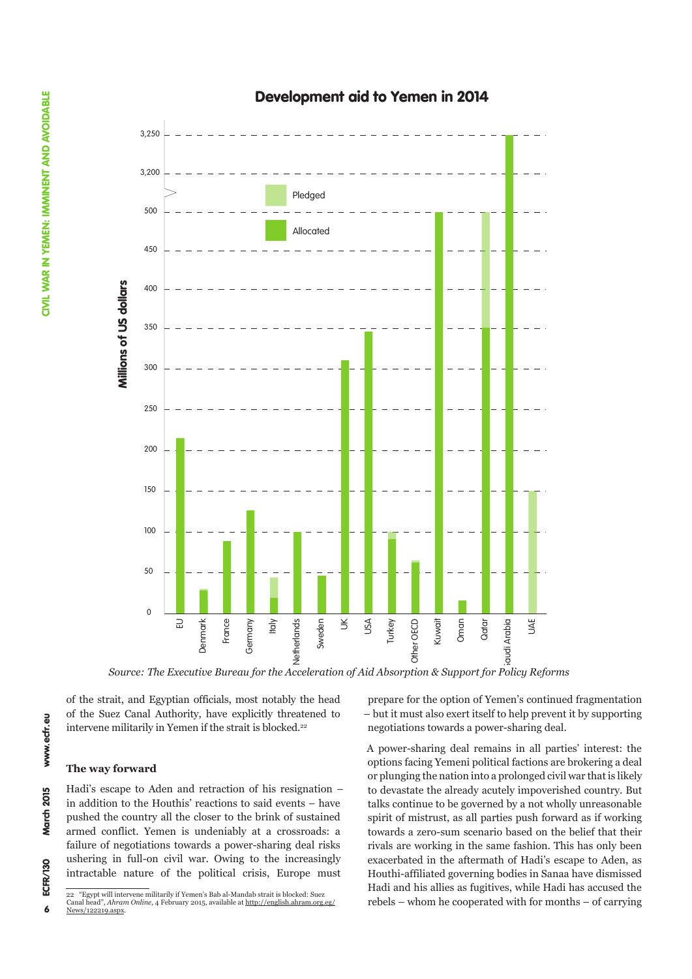## Development aid to Yemen in 2014



*Source: The Executive Bureau for the Acceleration of Aid Absorption & Support for Policy Reforms* 

of the strait, and Egyptian officials, most notably the head of the Suez Canal Authority, have explicitly threatened to intervene militarily in Yemen if the strait is blocked.<sup>22</sup>

#### **The way forward**

Hadi's escape to Aden and retraction of his resignation – in addition to the Houthis' reactions to said events – have pushed the country all the closer to the brink of sustained armed conflict. Yemen is undeniably at a crossroads: a failure of negotiations towards a power-sharing deal risks ushering in full-on civil war. Owing to the increasingly intractable nature of the political crisis, Europe must

prepare for the option of Yemen's continued fragmentation – but it must also exert itself to help prevent it by supporting negotiations towards a power-sharing deal.

A power-sharing deal remains in all parties' interest: the options facing Yemeni political factions are brokering a deal or plunging the nation into a prolonged civil war that is likely to devastate the already acutely impoverished country. But talks continue to be governed by a not wholly unreasonable spirit of mistrust, as all parties push forward as if working towards a zero-sum scenario based on the belief that their rivals are working in the same fashion. This has only been exacerbated in the aftermath of Hadi's escape to Aden, as Houthi-affiliated governing bodies in Sanaa have dismissed Hadi and his allies as fugitives, while Hadi has accused the rebels – whom he cooperated with for months – of carrying

 $\boldsymbol{6}$ 

<sup>22 &</sup>quot;Egypt will intervene militarily if Yemen's Bab al-Mandab strait is blocked: Suez<br>Canal head" Abram Online A February 2015, available at http://english.abram.org ad", *Ahram Online*, 4 February 2015, available at [http://english.ahram.org.eg/](http://english.ahram.org.eg/News/122219.aspx) [News/122219.aspx.](http://english.ahram.org.eg/News/122219.aspx)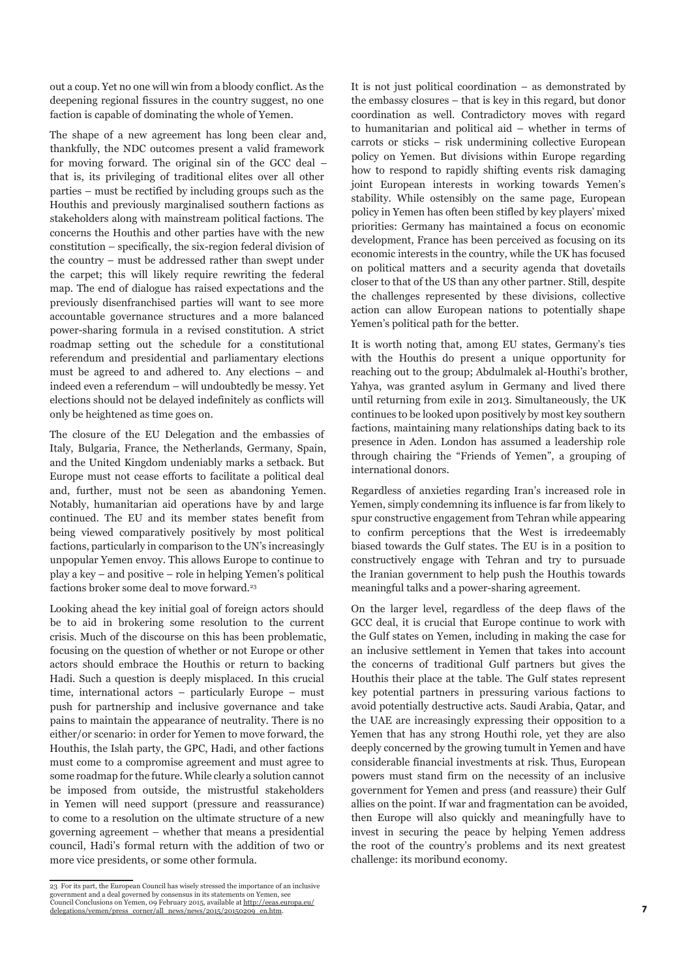out a coup. Yet no one will win from a bloody conflict. As the deepening regional fissures in the country suggest, no one faction is capable of dominating the whole of Yemen.

The shape of a new agreement has long been clear and, thankfully, the NDC outcomes present a valid framework for moving forward. The original sin of the GCC deal – that is, its privileging of traditional elites over all other parties – must be rectified by including groups such as the Houthis and previously marginalised southern factions as stakeholders along with mainstream political factions. The concerns the Houthis and other parties have with the new constitution – specifically, the six-region federal division of the country – must be addressed rather than swept under the carpet; this will likely require rewriting the federal map. The end of dialogue has raised expectations and the previously disenfranchised parties will want to see more accountable governance structures and a more balanced power-sharing formula in a revised constitution. A strict roadmap setting out the schedule for a constitutional referendum and presidential and parliamentary elections must be agreed to and adhered to. Any elections – and indeed even a referendum – will undoubtedly be messy. Yet elections should not be delayed indefinitely as conflicts will only be heightened as time goes on.

The closure of the EU Delegation and the embassies of Italy, Bulgaria, France, the Netherlands, Germany, Spain, and the United Kingdom undeniably marks a setback. But Europe must not cease efforts to facilitate a political deal and, further, must not be seen as abandoning Yemen. Notably, humanitarian aid operations have by and large continued. The EU and its member states benefit from being viewed comparatively positively by most political factions, particularly in comparison to the UN's increasingly unpopular Yemen envoy. This allows Europe to continue to play a key – and positive – role in helping Yemen's political factions broker some deal to move forward.<sup>23</sup>

Looking ahead the key initial goal of foreign actors should be to aid in brokering some resolution to the current crisis. Much of the discourse on this has been problematic, focusing on the question of whether or not Europe or other actors should embrace the Houthis or return to backing Hadi. Such a question is deeply misplaced. In this crucial time, international actors – particularly Europe – must push for partnership and inclusive governance and take pains to maintain the appearance of neutrality. There is no either/or scenario: in order for Yemen to move forward, the Houthis, the Islah party, the GPC, Hadi, and other factions must come to a compromise agreement and must agree to some roadmap for the future. While clearly a solution cannot be imposed from outside, the mistrustful stakeholders in Yemen will need support (pressure and reassurance) to come to a resolution on the ultimate structure of a new governing agreement – whether that means a presidential council, Hadi's formal return with the addition of two or more vice presidents, or some other formula.

23 For its part, the European Council has wisely stressed the importance of an inclusive government and a deal governed by consensus in its statements on Yemen, see<br>Council Conclusions on Yemen, 09 February 2015, available at <u>[http://eeas.europa.eu/](http://eeas.europa.eu/delegations/yemen/press_corner/all_news/news/2015/20150209_en.htm)</u><br>d<u>elegations/yemen/press\_corner/all\_news/news/2015/20150209\_</u>

It is not just political coordination – as demonstrated by the embassy closures – that is key in this regard, but donor coordination as well. Contradictory moves with regard to humanitarian and political aid – whether in terms of carrots or sticks – risk undermining collective European policy on Yemen. But divisions within Europe regarding how to respond to rapidly shifting events risk damaging joint European interests in working towards Yemen's stability. While ostensibly on the same page, European policy in Yemen has often been stifled by key players' mixed priorities: Germany has maintained a focus on economic development, France has been perceived as focusing on its economic interests in the country, while the UK has focused on political matters and a security agenda that dovetails closer to that of the US than any other partner. Still, despite the challenges represented by these divisions, collective action can allow European nations to potentially shape Yemen's political path for the better.

It is worth noting that, among EU states, Germany's ties with the Houthis do present a unique opportunity for reaching out to the group; Abdulmalek al-Houthi's brother, Yahya, was granted asylum in Germany and lived there until returning from exile in 2013. Simultaneously, the UK continues to be looked upon positively by most key southern factions, maintaining many relationships dating back to its presence in Aden. London has assumed a leadership role through chairing the "Friends of Yemen", a grouping of international donors.

Regardless of anxieties regarding Iran's increased role in Yemen, simply condemning its influence is far from likely to spur constructive engagement from Tehran while appearing to confirm perceptions that the West is irredeemably biased towards the Gulf states. The EU is in a position to constructively engage with Tehran and try to pursuade the Iranian government to help push the Houthis towards meaningful talks and a power-sharing agreement.

On the larger level, regardless of the deep flaws of the GCC deal, it is crucial that Europe continue to work with the Gulf states on Yemen, including in making the case for an inclusive settlement in Yemen that takes into account the concerns of traditional Gulf partners but gives the Houthis their place at the table. The Gulf states represent key potential partners in pressuring various factions to avoid potentially destructive acts. Saudi Arabia, Qatar, and the UAE are increasingly expressing their opposition to a Yemen that has any strong Houthi role, yet they are also deeply concerned by the growing tumult in Yemen and have considerable financial investments at risk. Thus, European powers must stand firm on the necessity of an inclusive government for Yemen and press (and reassure) their Gulf allies on the point. If war and fragmentation can be avoided, then Europe will also quickly and meaningfully have to invest in securing the peace by helping Yemen address the root of the country's problems and its next greatest challenge: its moribund economy.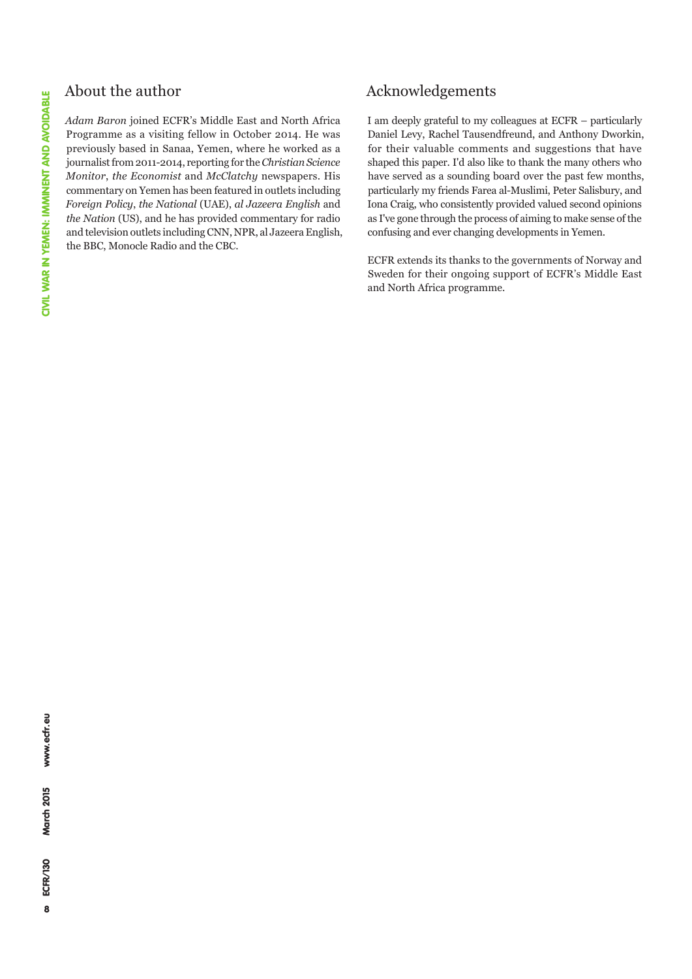## About the author

*Adam Baron* joined ECFR's Middle East and North Africa Programme as a visiting fellow in October 2014. He was previously based in Sanaa, Yemen, where he worked as a journalist from 2011-2014, reporting for the *Christian Science Monitor*, *the Economist* and *McClatchy* newspapers. His commentary on Yemen has been featured in outlets including *Foreign Policy*, *the National* (UAE), *al Jazeera English* and *the Nation* (US), and he has provided commentary for radio and television outlets including CNN, NPR, al Jazeera English, the BBC, Monocle Radio and the CBC.

## Acknowledgements

I am deeply grateful to my colleagues at ECFR – particularly Daniel Levy, Rachel Tausendfreund, and Anthony Dworkin, for their valuable comments and suggestions that have shaped this paper. I'd also like to thank the many others who have served as a sounding board over the past few months, particularly my friends Farea al-Muslimi, Peter Salisbury, and Iona Craig, who consistently provided valued second opinions as I've gone through the process of aiming to make sense of the confusing and ever changing developments in Yemen.

ECFR extends its thanks to the governments of Norway and Sweden for their ongoing support of ECFR's Middle East and North Africa programme.